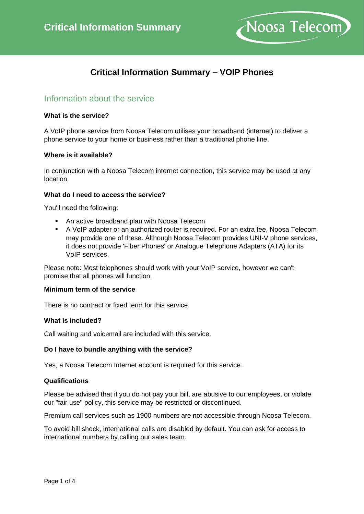

# **Critical Information Summary – VOIP Phones**

## Information about the service

### **What is the service?**

A VoIP phone service from Noosa Telecom utilises your broadband (internet) to deliver a phone service to your home or business rather than a traditional phone line.

#### **Where is it available?**

In conjunction with a Noosa Telecom internet connection, this service may be used at any location.

### **What do I need to access the service?**

You'll need the following:

- An active broadband plan with Noosa Telecom
- A VoIP adapter or an authorized router is required. For an extra fee, Noosa Telecom may provide one of these. Although Noosa Telecom provides UNI-V phone services, it does not provide 'Fiber Phones' or Analogue Telephone Adapters (ATA) for its VoIP services.

Please note: Most telephones should work with your VoIP service, however we can't promise that all phones will function.

### **Minimum term of the service**

There is no contract or fixed term for this service.

### **What is included?**

Call waiting and voicemail are included with this service.

### **Do I have to bundle anything with the service?**

Yes, a Noosa Telecom Internet account is required for this service.

### **Qualifications**

Please be advised that if you do not pay your bill, are abusive to our employees, or violate our "fair use" policy, this service may be restricted or discontinued.

Premium call services such as 1900 numbers are not accessible through Noosa Telecom.

To avoid bill shock, international calls are disabled by default. You can ask for access to international numbers by calling our sales team.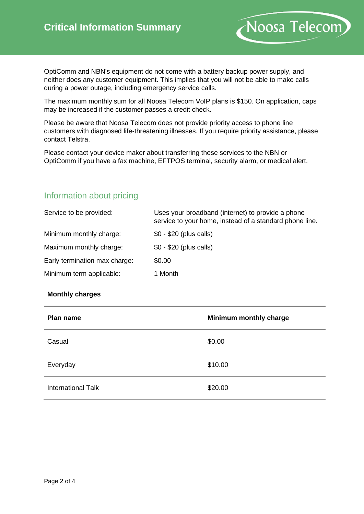OptiComm and NBN's equipment do not come with a battery backup power supply, and neither does any customer equipment. This implies that you will not be able to make calls during a power outage, including emergency service calls.

Noosa Telecom)

The maximum monthly sum for all Noosa Telecom VoIP plans is \$150. On application, caps may be increased if the customer passes a credit check.

Please be aware that Noosa Telecom does not provide priority access to phone line customers with diagnosed life-threatening illnesses. If you require priority assistance, please contact Telstra.

Please contact your device maker about transferring these services to the NBN or OptiComm if you have a fax machine, EFTPOS terminal, security alarm, or medical alert.

## Information about pricing

| Service to be provided:       | Uses your broadband (internet) to provide a phone<br>service to your home, instead of a standard phone line. |  |  |  |
|-------------------------------|--------------------------------------------------------------------------------------------------------------|--|--|--|
| Minimum monthly charge:       | $$0 - $20$ (plus calls)                                                                                      |  |  |  |
| Maximum monthly charge:       | $$0 - $20$ (plus calls)                                                                                      |  |  |  |
| Early termination max charge: | \$0.00                                                                                                       |  |  |  |
| Minimum term applicable:      | 1 Month                                                                                                      |  |  |  |

## **Monthly charges**

| Plan name                 | Minimum monthly charge |
|---------------------------|------------------------|
| Casual                    | \$0.00                 |
| Everyday                  | \$10.00                |
| <b>International Talk</b> | \$20.00                |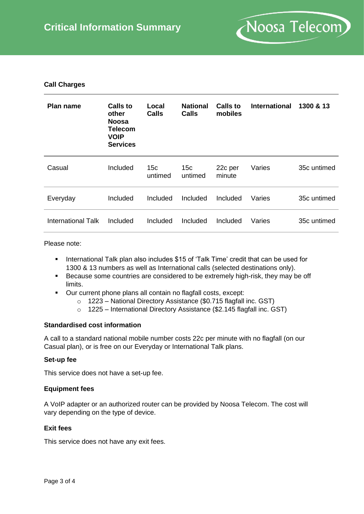

## **Call Charges**

| Plan name          | Calls to<br>other<br><b>Noosa</b><br><b>Telecom</b><br><b>VOIP</b><br><b>Services</b> | Local<br><b>Calls</b>      | <b>National</b><br><b>Calls</b> | Calls to<br>mobiles | <b>International</b> | 1300 & 13   |
|--------------------|---------------------------------------------------------------------------------------|----------------------------|---------------------------------|---------------------|----------------------|-------------|
| Casual             | Included                                                                              | 15 <sub>c</sub><br>untimed | 15 <sub>c</sub><br>untimed      | 22c per<br>minute   | Varies               | 35c untimed |
| Everyday           | Included                                                                              | Included                   | Included                        | Included            | Varies               | 35c untimed |
| International Talk | Included                                                                              | Included                   | Included                        | Included            | Varies               | 35c untimed |

Please note:

- International Talk plan also includes \$15 of 'Talk Time' credit that can be used for 1300 & 13 numbers as well as International calls (selected destinations only).
- Because some countries are considered to be extremely high-risk, they may be off limits.
- Our current phone plans all contain no flagfall costs, except:
	- o 1223 National Directory Assistance (\$0.715 flagfall inc. GST)
	- o 1225 International Directory Assistance (\$2.145 flagfall inc. GST)

## **Standardised cost information**

A call to a standard national mobile number costs 22c per minute with no flagfall (on our Casual plan), or is free on our Everyday or International Talk plans.

### **Set-up fee**

This service does not have a set-up fee.

### **Equipment fees**

A VoIP adapter or an authorized router can be provided by Noosa Telecom. The cost will vary depending on the type of device.

### **Exit fees**

This service does not have any exit fees.